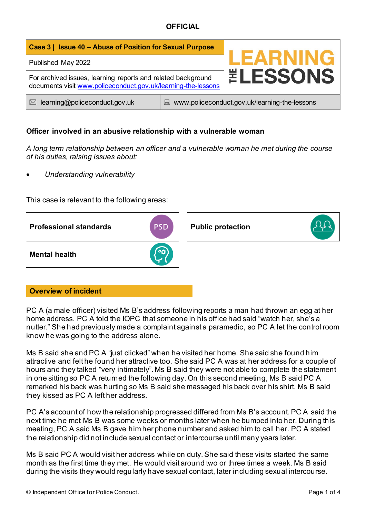| Case 3   Issue 40 - Abuse of Position for Sexual Purpose                                                                      |                                                    |                 |
|-------------------------------------------------------------------------------------------------------------------------------|----------------------------------------------------|-----------------|
| Published May 2022                                                                                                            |                                                    | <b>LEARNING</b> |
| For archived issues, learning reports and related background<br>documents visit www.policeconduct.gov.uk/learning-the-lessons |                                                    | <b>ELESSONS</b> |
| learning@policeconduct.gov.uk<br>$\bowtie$                                                                                    | www.policeconduct.gov.uk/learning-the-lessons<br>鳳 |                 |

### **Officer involved in an abusive relationship with a vulnerable woman**

*A long term relationship between an officer and a vulnerable woman he met during the course of his duties, raising issues about:* 

• *Understanding vulnerability*

This case is relevant to the following areas:



## **Overview of incident**

PC A (a male officer) visited Ms B's address following reports a man had thrown an egg at her home address. PC A told the IOPC that someone in his office had said "watch her, she's a nutter." She had previously made a complaint against a paramedic, so PC A let the control room know he was going to the address alone.

Ms B said she and PC A "just clicked" when he visited her home. She said she found him attractive and felt he found her attractive too. She said PC A was at her address for a couple of hours and they talked "very intimately". Ms B said they were not able to complete the statement in one sitting so PC A returned the following day. On this second meeting, Ms B said PC A remarked his back was hurting so Ms B said she massaged his back over his shirt. Ms B said they kissed as PC A left her address.

PC A's account of how the relationship progressed differed from Ms B's account. PC A said the next time he met Ms B was some weeks or months later when he bumped into her. During this meeting, PC A said Ms B gave him her phone number and asked him to call her. PC A stated the relationship did not include sexual contact or intercourse until many years later.

Ms B said PC A would visit her address while on duty. She said these visits started the same month as the first time they met. He would visit around two or three times a week. Ms B said during the visits they would regularly have sexual contact, later including sexual intercourse.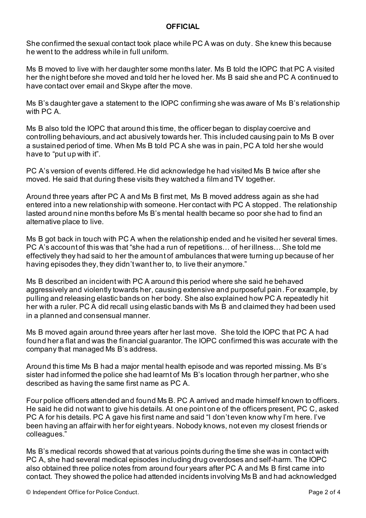She confirmed the sexual contact took place while PC A was on duty. She knew this because he went to the address while in full uniform.

Ms B moved to live with her daughter some months later. Ms B told the IOPC that PC A visited her the night before she moved and told her he loved her. Ms B said she and PC A continued to have contact over email and Skype after the move.

Ms B's daughter gave a statement to the IOPC confirming she was aware of Ms B's relationship with PC A.

Ms B also told the IOPC that around this time, the officer began to display coercive and controlling behaviours, and act abusively towards her. This included causing pain to Ms B over a sustained period of time. When Ms B told PC A she was in pain, PC A told her she would have to "put up with it".

PC A's version of events differed. He did acknowledge he had visited Ms B twice after she moved. He said that during these visits they watched a film and TV together.

Around three years after PC A and Ms B first met, Ms B moved address again as she had entered into a new relationship with someone. Her contact with PC A stopped. The relationship lasted around nine months before Ms B's mental health became so poor she had to find an alternative place to live.

Ms B got back in touch with PC A when the relationship ended and he visited her several times. PC A's account of this was that "she had a run of repetitions… of her illness… She told me effectively they had said to her the amount of ambulances that were turning up because of her having episodes they, they didn't want her to, to live their anymore."

Ms B described an incident with PC A around this period where she said he behaved aggressively and violently towards her, causing extensive and purposeful pain. For example, by pulling and releasing elastic bands on her body. She also explained how PC A repeatedly hit her with a ruler. PC A did recall using elastic bands with Ms B and claimed they had been used in a planned and consensual manner.

Ms B moved again around three years after her last move. She told the IOPC that PC A had found her a flat and was the financial guarantor. The IOPC confirmed this was accurate with the company that managed Ms B's address.

Around this time Ms B had a major mental health episode and was reported missing. Ms B's sister had informed the police she had learnt of Ms B's location through her partner, who she described as having the same first name as PC A.

Four police officers attended and found Ms B. PC A arrived and made himself known to officers. He said he did not want to give his details. At one point one of the officers present, PC C, asked PC A for his details. PC A gave his first name and said "I don't even know why I'm here. I've been having an affair with her for eight years. Nobody knows, not even my closest friends or colleagues."

Ms B's medical records showed that at various points during the time she was in contact with PC A, she had several medical episodes including drug overdoses and self-harm. The IOPC also obtained three police notes from around four years after PC A and Ms B first came into contact. They showed the police had attended incidents involving Ms B and had acknowledged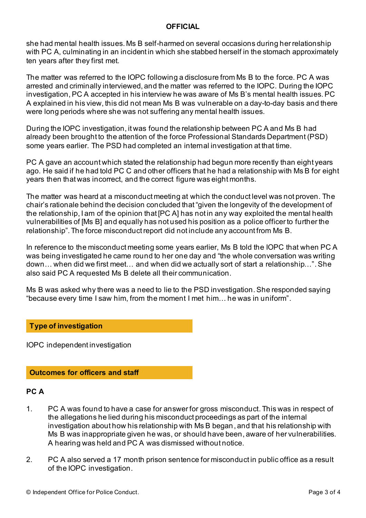she had mental health issues. Ms B self-harmed on several occasions during her relationship with PC A, culminating in an incident in which she stabbed herself in the stomach approximately ten years after they first met.

The matter was referred to the IOPC following a disclosure from Ms B to the force. PC A was arrested and criminally interviewed, and the matter was referred to the IOPC. During the IOPC investigation, PC A accepted in his interview he was aware of Ms B's mental health issues. PC A explained in his view, this did not mean Ms B was vulnerable on a day-to-day basis and there were long periods where she was not suffering any mental health issues.

During the IOPC investigation, it was found the relationship between PC A and Ms B had already been brought to the attention of the force Professional Standards Department (PSD) some years earlier. The PSD had completed an internal investigation at that time.

PC A gave an account which stated the relationship had begun more recently than eight years ago. He said if he had told PC C and other officers that he had a relationship with Ms B for eight years then that was incorrect, and the correct figure was eight months.

The matter was heard at a misconduct meeting at which the conduct level was not proven. The chair's rationale behind the decision concluded that "given the longevity of the development of the relationship, I am of the opinion that [PC A] has not in any way exploited the mental health vulnerabilities of [Ms B] and equally has not used his position as a police officer to further the relationship". The force misconduct report did not include any account from Ms B.

In reference to the misconduct meeting some years earlier, Ms B told the IOPC that when PC A was being investigated he came round to her one day and "the whole conversation was writing down… when did we first meet… and when did we actually sort of start a relationship…".She also said PC A requested Ms B delete all their communication.

Ms B was asked why there was a need to lie to the PSD investigation. She responded saying "because every time I saw him, from the moment I met him… he was in uniform".

#### **Type of investigation**

IOPC independent investigation

#### **Outcomes for officers and staff**

#### **PC A**

- 1. PC A was found to have a case for answer for gross misconduct. This was in respect of the allegations he lied during his misconduct proceedings as part of the internal investigation about how his relationship with Ms B began, and that his relationship with Ms B was inappropriate given he was, or should have been, aware of her vulnerabilities. A hearing was held and PC A was dismissed without notice.
- 2. PC A also served a 17 month prison sentence for misconduct in public office as a result of the IOPC investigation.